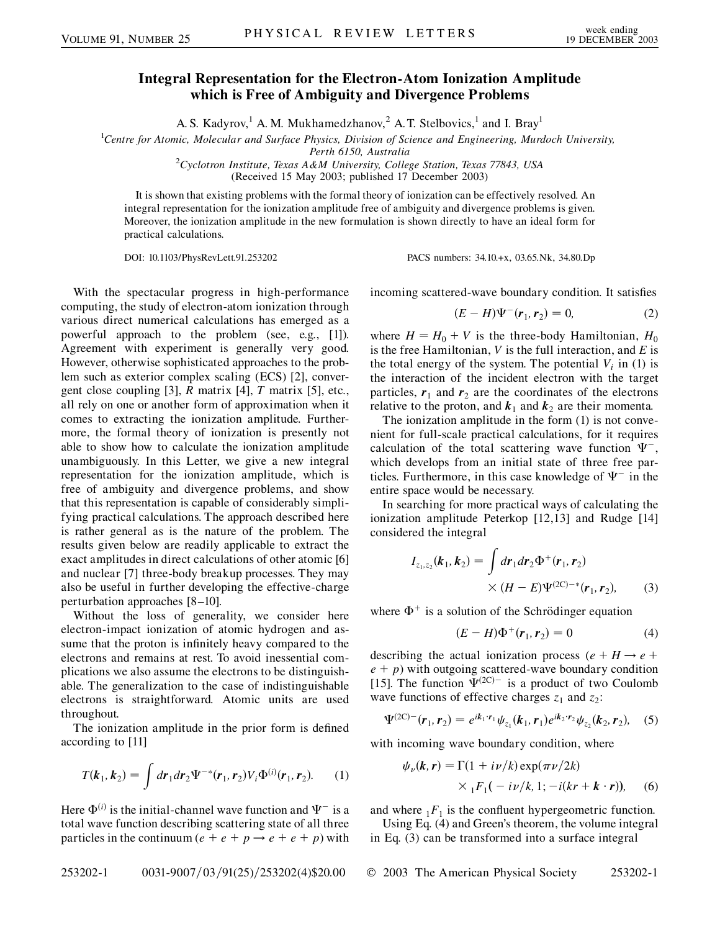## **Integral Representation for the Electron-Atom Ionization Amplitude which is Free of Ambiguity and Divergence Problems**

A. S. Kadyrov,<sup>1</sup> A. M. Mukhamedzhanov,<sup>2</sup> A. T. Stelbovics,<sup>1</sup> and I. Bray<sup>1</sup>

1 *Centre for Atomic, Molecular and Surface Physics, Division of Science and Engineering, Murdoch University,*

*Perth 6150, Australia* <sup>2</sup> *Cyclotron Institute, Texas A&M University, College Station, Texas 77843, USA*

(Received 15 May 2003; published 17 December 2003)

It is shown that existing problems with the formal theory of ionization can be effectively resolved. An integral representation for the ionization amplitude free of ambiguity and divergence problems is given. Moreover, the ionization amplitude in the new formulation is shown directly to have an ideal form for practical calculations.

DOI: 10.1103/PhysRevLett.91.253202 PACS numbers: 34.10.+x, 03.65.Nk, 34.80.Dp

With the spectacular progress in high-performance computing, the study of electron-atom ionization through various direct numerical calculations has emerged as a powerful approach to the problem (see, e.g., [1]). Agreement with experiment is generally very good. However, otherwise sophisticated approaches to the problem such as exterior complex scaling (ECS) [2], convergent close coupling [3], *R* matrix [4], *T* matrix [5], etc., all rely on one or another form of approximation when it comes to extracting the ionization amplitude. Furthermore, the formal theory of ionization is presently not able to show how to calculate the ionization amplitude unambiguously. In this Letter, we give a new integral representation for the ionization amplitude, which is free of ambiguity and divergence problems, and show that this representation is capable of considerably simplifying practical calculations. The approach described here is rather general as is the nature of the problem. The results given below are readily applicable to extract the exact amplitudes in direct calculations of other atomic [6] and nuclear [7] three-body breakup processes. They may also be useful in further developing the effective-charge perturbation approaches [8–10].

Without the loss of generality, we consider here electron-impact ionization of atomic hydrogen and assume that the proton is infinitely heavy compared to the electrons and remains at rest. To avoid inessential complications we also assume the electrons to be distinguishable. The generalization to the case of indistinguishable electrons is straightforward. Atomic units are used throughout.

The ionization amplitude in the prior form is defined according to [11]

$$
T(k_1, k_2) = \int dr_1 dr_2 \Psi^{-*}(\mathbf{r}_1, \mathbf{r}_2) V_i \Phi^{(i)}(\mathbf{r}_1, \mathbf{r}_2).
$$
 (1)

Here  $\Phi^{(i)}$  is the initial-channel wave function and  $\Psi^-$  is a total wave function describing scattering state of all three particles in the continuum ( $e + e + p \rightarrow e + e + p$ ) with incoming scattered-wave boundary condition. It satisfies

$$
(E - H)\Psi^{-}(\mathbf{r}_{1}, \mathbf{r}_{2}) = 0, \tag{2}
$$

where  $H = H_0 + V$  is the three-body Hamiltonian,  $H_0$ is the free Hamiltonian, *V* is the full interaction, and *E* is the total energy of the system. The potential  $V_i$  in (1) is the interaction of the incident electron with the target particles,  $r_1$  and  $r_2$  are the coordinates of the electrons relative to the proton, and  $k_1$  and  $k_2$  are their momenta.

The ionization amplitude in the form (1) is not convenient for full-scale practical calculations, for it requires calculation of the total scattering wave function  $\Psi^-$ , which develops from an initial state of three free particles. Furthermore, in this case knowledge of  $\Psi^-$  in the entire space would be necessary.

In searching for more practical ways of calculating the ionization amplitude Peterkop [12,13] and Rudge [14] considered the integral

$$
I_{z_1, z_2}(\boldsymbol{k}_1, \boldsymbol{k}_2) = \int d\boldsymbol{r}_1 d\boldsymbol{r}_2 \Phi^+(\boldsymbol{r}_1, \boldsymbol{r}_2) \times (H - E) \Psi^{(2C) - *}(\boldsymbol{r}_1, \boldsymbol{r}_2), \qquad (3)
$$

where  $\Phi^+$  is a solution of the Schrödinger equation

$$
(E - H)\Phi^{+}(\mathbf{r}_{1}, \mathbf{r}_{2}) = 0 \tag{4}
$$

describing the actual ionization process ( $e + H \rightarrow e +$  $e + p$ ) with outgoing scattered-wave boundary condition [15]. The function  $\Psi^{(2C)-}$  is a product of two Coulomb wave functions of effective charges  $z_1$  and  $z_2$ :

$$
\Psi^{(2C)-}(\mathbf{r}_1,\mathbf{r}_2)=e^{ik_1\cdot\mathbf{r}_1}\psi_{z_1}(\mathbf{k}_1,\mathbf{r}_1)e^{ik_2\cdot\mathbf{r}_2}\psi_{z_2}(\mathbf{k}_2,\mathbf{r}_2),\quad(5)
$$

with incoming wave boundary condition, where

$$
\psi_{\nu}(\mathbf{k}, \mathbf{r}) = \Gamma(1 + i\nu/k) \exp(\pi \nu/2k)
$$
  
 
$$
\times {}_{1}F_{1}(-i\nu/k, 1; -i(kr + \mathbf{k} \cdot \mathbf{r})), \quad (6)
$$

and where  ${}_{1}F_{1}$  is the confluent hypergeometric function.

Using Eq. (4) and Green's theorem, the volume integral in Eq. (3) can be transformed into a surface integral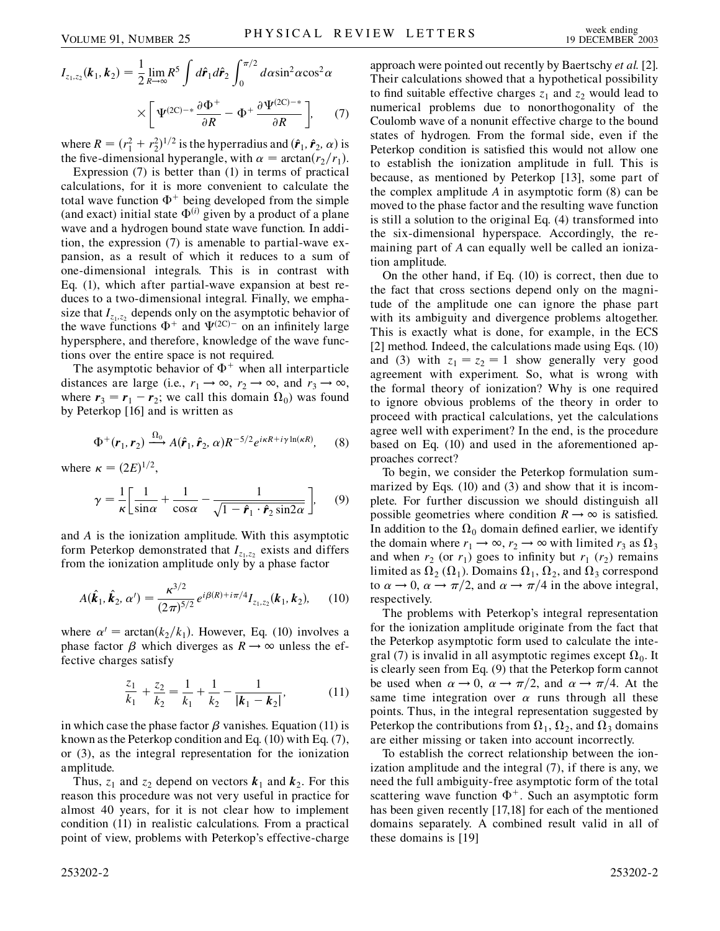$$
I_{z_1, z_2}(\boldsymbol{k}_1, \boldsymbol{k}_2) = \frac{1}{2} \lim_{R \to \infty} R^5 \int d\hat{\boldsymbol{r}}_1 d\hat{\boldsymbol{r}}_2 \int_0^{\pi/2} d\alpha \sin^2 \alpha \cos^2 \alpha
$$

$$
\times \left[ \Psi^{(2\mathbf{C}) - *} \frac{\partial \Phi^+}{\partial R} - \Phi^+ \frac{\partial \Psi^{(2\mathbf{C}) - *}}{\partial R} \right], \qquad (7)
$$

where  $R = (r_1^2 + r_2^2)^{1/2}$  is the hyperradius and  $(\hat{r}_1, \hat{r}_2, \alpha)$  is the five-dimensional hyperangle, with  $\alpha = \arctan(r_2/r_1)$ .

Expression (7) is better than (1) in terms of practical calculations, for it is more convenient to calculate the total wave function  $\Phi^+$  being developed from the simple (and exact) initial state  $\Phi^{(i)}$  given by a product of a plane wave and a hydrogen bound state wave function. In addition, the expression (7) is amenable to partial-wave expansion, as a result of which it reduces to a sum of one-dimensional integrals. This is in contrast with Eq. (1), which after partial-wave expansion at best reduces to a two-dimensional integral. Finally, we emphasize that  $I_{z_1,z_2}$  depends only on the asymptotic behavior of the wave functions  $\Phi^+$  and  $\Psi^{(2C)-}$  on an infinitely large hypersphere, and therefore, knowledge of the wave functions over the entire space is not required.

The asymptotic behavior of  $\Phi^+$  when all interparticle distances are large (i.e.,  $r_1 \rightarrow \infty$ ,  $r_2 \rightarrow \infty$ , and  $r_3 \rightarrow \infty$ , where  $r_3 = r_1 - r_2$ ; we call this domain  $\Omega_0$ ) was found by Peterkop [16] and is written as

$$
\Phi^+(\boldsymbol{r}_1,\boldsymbol{r}_2) \xrightarrow{\Omega_0} A(\hat{\boldsymbol{r}}_1,\hat{\boldsymbol{r}}_2,\,\alpha) R^{-5/2} e^{i\kappa R + i\gamma \ln(\kappa R)},\qquad(8)
$$

where  $\kappa = (2E)^{1/2}$ ,

$$
\gamma = \frac{1}{\kappa} \left[ \frac{1}{\sin \alpha} + \frac{1}{\cos \alpha} - \frac{1}{\sqrt{1 - \hat{r}_1 \cdot \hat{r}_2 \sin 2\alpha}} \right], \quad (9)
$$

and *A* is the ionization amplitude. With this asymptotic form Peterkop demonstrated that  $I_{z_1,z_2}$  exists and differs from the ionization amplitude only by a phase factor

$$
A(\hat{\boldsymbol{k}}_1, \hat{\boldsymbol{k}}_2, \alpha') = \frac{\kappa^{3/2}}{(2\pi)^{5/2}} e^{i\beta(R) + i\pi/4} I_{z_1, z_2}(\boldsymbol{k}_1, \boldsymbol{k}_2), \qquad (10)
$$

where  $\alpha' = \arctan(k_2/k_1)$ . However, Eq. (10) involves a phase factor  $\beta$  which diverges as  $R \rightarrow \infty$  unless the effective charges satisfy

$$
\frac{z_1}{k_1} + \frac{z_2}{k_2} = \frac{1}{k_1} + \frac{1}{k_2} - \frac{1}{|k_1 - k_2|},
$$
(11)

in which case the phase factor  $\beta$  vanishes. Equation (11) is known as the Peterkop condition and Eq. (10) with Eq. (7), or (3), as the integral representation for the ionization amplitude.

Thus,  $z_1$  and  $z_2$  depend on vectors  $k_1$  and  $k_2$ . For this reason this procedure was not very useful in practice for almost 40 years, for it is not clear how to implement condition (11) in realistic calculations. From a practical point of view, problems with Peterkop's effective-charge

253202-2 253202-2

approach were pointed out recently by Baertschy *et al.* [2]. Their calculations showed that a hypothetical possibility to find suitable effective charges  $z_1$  and  $z_2$  would lead to numerical problems due to nonorthogonality of the Coulomb wave of a nonunit effective charge to the bound states of hydrogen. From the formal side, even if the Peterkop condition is satisfied this would not allow one to establish the ionization amplitude in full. This is because, as mentioned by Peterkop [13], some part of the complex amplitude *A* in asymptotic form (8) can be moved to the phase factor and the resulting wave function is still a solution to the original Eq. (4) transformed into the six-dimensional hyperspace. Accordingly, the remaining part of *A* can equally well be called an ionization amplitude.

On the other hand, if Eq. (10) is correct, then due to the fact that cross sections depend only on the magnitude of the amplitude one can ignore the phase part with its ambiguity and divergence problems altogether. This is exactly what is done, for example, in the ECS [2] method. Indeed, the calculations made using Eqs. (10) and (3) with  $z_1 = z_2 = 1$  show generally very good agreement with experiment. So, what is wrong with the formal theory of ionization? Why is one required to ignore obvious problems of the theory in order to proceed with practical calculations, yet the calculations agree well with experiment? In the end, is the procedure based on Eq. (10) and used in the aforementioned approaches correct?

To begin, we consider the Peterkop formulation summarized by Eqs. (10) and (3) and show that it is incomplete. For further discussion we should distinguish all possible geometries where condition  $R \rightarrow \infty$  is satisfied. In addition to the  $\Omega_0$  domain defined earlier, we identify the domain where  $r_1 \rightarrow \infty$ ,  $r_2 \rightarrow \infty$  with limited  $r_3$  as  $\Omega_3$ and when  $r_2$  (or  $r_1$ ) goes to infinity but  $r_1$  ( $r_2$ ) remains limited as  $\Omega_2(\Omega_1)$ . Domains  $\Omega_1, \Omega_2$ , and  $\Omega_3$  correspond to  $\alpha \rightarrow 0$ ,  $\alpha \rightarrow \pi/2$ , and  $\alpha \rightarrow \pi/4$  in the above integral, respectively.

The problems with Peterkop's integral representation for the ionization amplitude originate from the fact that the Peterkop asymptotic form used to calculate the integral (7) is invalid in all asymptotic regimes except  $\Omega_0$ . It is clearly seen from Eq. (9) that the Peterkop form cannot be used when  $\alpha \rightarrow 0$ ,  $\alpha \rightarrow \pi/2$ , and  $\alpha \rightarrow \pi/4$ . At the same time integration over  $\alpha$  runs through all these points. Thus, in the integral representation suggested by Peterkop the contributions from  $\Omega_1$ ,  $\Omega_2$ , and  $\Omega_3$  domains are either missing or taken into account incorrectly.

To establish the correct relationship between the ionization amplitude and the integral (7), if there is any, we need the full ambiguity-free asymptotic form of the total scattering wave function  $\Phi^+$ . Such an asymptotic form has been given recently [17,18] for each of the mentioned domains separately. A combined result valid in all of these domains is [19]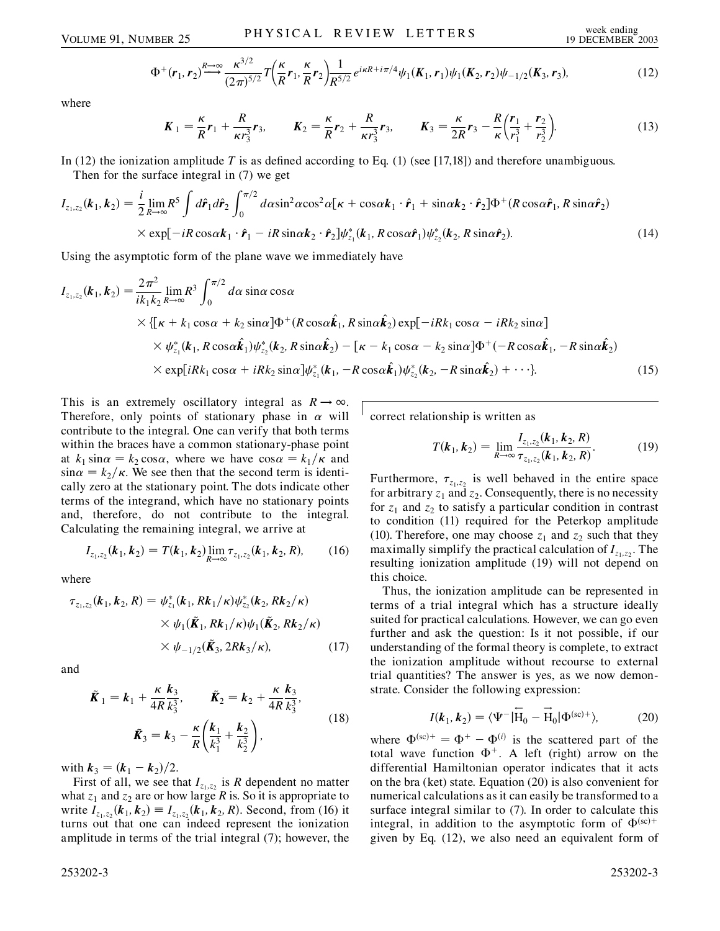$$
\Phi^+(r_1, r_2) \stackrel{R \to \infty}{\longrightarrow} \frac{\kappa^{3/2}}{(2\pi)^{5/2}} T\left(\frac{\kappa}{R}r_1, \frac{\kappa}{R}r_2\right) \frac{1}{R^{5/2}} e^{i\kappa R + i\pi/4} \psi_1(K_1, r_1) \psi_1(K_2, r_2) \psi_{-1/2}(K_3, r_3),\tag{12}
$$

where

$$
K_1 = \frac{\kappa}{R} r_1 + \frac{R}{\kappa r_3^3} r_3, \qquad K_2 = \frac{\kappa}{R} r_2 + \frac{R}{\kappa r_3^3} r_3, \qquad K_3 = \frac{\kappa}{2R} r_3 - \frac{R}{\kappa} \left( \frac{r_1}{r_1^3} + \frac{r_2}{r_2^3} \right).
$$
 (13)

In (12) the ionization amplitude *T* is as defined according to Eq. (1) (see [17,18]) and therefore unambiguous.

Then for the surface integral in (7) we get

$$
I_{z_1, z_2}(\boldsymbol{k}_1, \boldsymbol{k}_2) = \frac{i}{2} \lim_{R \to \infty} R^5 \int d\hat{\boldsymbol{r}}_1 d\hat{\boldsymbol{r}}_2 \int_0^{\pi/2} d\alpha \sin^2 \alpha \cos^2 \alpha [\boldsymbol{\kappa} + \cos \alpha \boldsymbol{k}_1 \cdot \hat{\boldsymbol{r}}_1 + \sin \alpha \boldsymbol{k}_2 \cdot \hat{\boldsymbol{r}}_2] \Phi^+(\boldsymbol{R} \cos \alpha \hat{\boldsymbol{r}}_1, \boldsymbol{R} \sin \alpha \hat{\boldsymbol{r}}_2)
$$
  
×  $\exp[-i \boldsymbol{R} \cos \alpha \boldsymbol{k}_1 \cdot \hat{\boldsymbol{r}}_1 - i \boldsymbol{R} \sin \alpha \boldsymbol{k}_2 \cdot \hat{\boldsymbol{r}}_2] \psi_{z_1}^*(\boldsymbol{k}_1, \boldsymbol{R} \cos \alpha \hat{\boldsymbol{r}}_1) \psi_{z_2}^*(\boldsymbol{k}_2, \boldsymbol{R} \sin \alpha \hat{\boldsymbol{r}}_2).$  (14)

Using the asymptotic form of the plane wave we immediately have

$$
I_{z_1,z_2}(\boldsymbol{k}_1,\boldsymbol{k}_2) = \frac{2\pi^2}{ik_1k_2} \lim_{R\to\infty} R^3 \int_0^{\pi/2} d\alpha \sin\alpha \cos\alpha
$$
  
 
$$
\times \{[\kappa + k_1\cos\alpha + k_2\sin\alpha]\Phi^+(\boldsymbol{R}\cos\alpha\hat{\boldsymbol{k}}_1, \boldsymbol{R}\sin\alpha\hat{\boldsymbol{k}}_2)\exp[-i\boldsymbol{R}k_1\cos\alpha - i\boldsymbol{R}k_2\sin\alpha]
$$
  
 
$$
\times \psi_{z_1}^*(\boldsymbol{k}_1, \boldsymbol{R}\cos\alpha\hat{\boldsymbol{k}}_1)\psi_{z_2}^*(\boldsymbol{k}_2, \boldsymbol{R}\sin\alpha\hat{\boldsymbol{k}}_2) - [\boldsymbol{\kappa} - k_1\cos\alpha - k_2\sin\alpha]\Phi^+(-\boldsymbol{R}\cos\alpha\hat{\boldsymbol{k}}_1, -\boldsymbol{R}\sin\alpha\hat{\boldsymbol{k}}_2)
$$
  
 
$$
\times \exp[i\boldsymbol{R}k_1\cos\alpha + i\boldsymbol{R}k_2\sin\alpha]\psi_{z_1}^*(\boldsymbol{k}_1, -\boldsymbol{R}\cos\alpha\hat{\boldsymbol{k}}_1)\psi_{z_2}^*(\boldsymbol{k}_2, -\boldsymbol{R}\sin\alpha\hat{\boldsymbol{k}}_2) + \cdots].
$$
 (15)

This is an extremely oscillatory integral as  $R \to \infty$ . Therefore, only points of stationary phase in  $\alpha$  will contribute to the integral. One can verify that both terms within the braces have a common stationary-phase point at  $k_1 \sin \alpha = k_2 \cos \alpha$ , where we have  $\cos \alpha = k_1 / \kappa$  and  $\sin \alpha = k_2 / \kappa$ . We see then that the second term is identically zero at the stationary point. The dots indicate other terms of the integrand, which have no stationary points and, therefore, do not contribute to the integral. Calculating the remaining integral, we arrive at

$$
I_{z_1, z_2}(\mathbf{k}_1, \mathbf{k}_2) = T(\mathbf{k}_1, \mathbf{k}_2) \lim_{R \to \infty} \tau_{z_1, z_2}(\mathbf{k}_1, \mathbf{k}_2, R), \qquad (16)
$$

where

$$
\tau_{z_1, z_2}(\boldsymbol{k}_1, \boldsymbol{k}_2, R) = \psi_{z_1}^*(\boldsymbol{k}_1, R\boldsymbol{k}_1/\kappa)\psi_{z_2}^*(\boldsymbol{k}_2, R\boldsymbol{k}_2/\kappa)
$$
  
 
$$
\times \psi_1(\tilde{\boldsymbol{K}}_1, R\boldsymbol{k}_1/\kappa)\psi_1(\tilde{\boldsymbol{K}}_2, R\boldsymbol{k}_2/\kappa)
$$
  
 
$$
\times \psi_{-1/2}(\tilde{\boldsymbol{K}}_3, 2R\boldsymbol{k}_3/\kappa), \qquad (17)
$$

and

$$
\tilde{K}_1 = k_1 + \frac{\kappa}{4R} \frac{k_3}{k_3^3}, \qquad \tilde{K}_2 = k_2 + \frac{\kappa}{4R} \frac{k_3}{k_3^3}, \n\tilde{K}_3 = k_3 - \frac{\kappa}{R} \left( \frac{k_1}{k_1^3} + \frac{k_2}{k_2^3} \right),
$$
\n(18)

with  $k_3 = (k_1 - k_2)/2$ .

First of all, we see that  $I_{z_1,z_2}$  is *R* dependent no matter what  $z_1$  and  $z_2$  are or how large *R* is. So it is appropriate to write  $I_{z_1, z_2}(\mathbf{k}_1, \mathbf{k}_2) \equiv I_{z_1, z_2}(\mathbf{k}_1, \mathbf{k}_2, R)$ . Second, from (16) it turns out that one can indeed represent the ionization amplitude in terms of the trial integral (7); however, the correct relationship is written as

$$
T(\boldsymbol{k}_1, \boldsymbol{k}_2) = \lim_{R \to \infty} \frac{I_{z_1, z_2}(\boldsymbol{k}_1, \boldsymbol{k}_2, R)}{\tau_{z_1, z_2}(\boldsymbol{k}_1, \boldsymbol{k}_2, R)}.
$$
(19)

Furthermore,  $\tau_{z_1,z_2}$  is well behaved in the entire space for arbitrary  $z_1$  and  $z_2$ . Consequently, there is no necessity for  $z_1$  and  $z_2$  to satisfy a particular condition in contrast to condition (11) required for the Peterkop amplitude (10). Therefore, one may choose  $z_1$  and  $z_2$  such that they maximally simplify the practical calculation of  $I_{z_1,z_2}$ . The resulting ionization amplitude (19) will not depend on this choice.

Thus, the ionization amplitude can be represented in terms of a trial integral which has a structure ideally suited for practical calculations. However, we can go even further and ask the question: Is it not possible, if our understanding of the formal theory is complete, to extract the ionization amplitude without recourse to external trial quantities? The answer is yes, as we now demonstrate. Consider the following expression:

$$
I(\boldsymbol{k}_1, \boldsymbol{k}_2) = \langle \Psi^- | \overleftarrow{\mathbf{H}}_0 - \overrightarrow{\mathbf{H}}_0 | \Phi^{(\text{sc})+} \rangle, \tag{20}
$$

where  $\Phi^{(sc)+} = \Phi^+ - \Phi^{(i)}$  is the scattered part of the total wave function  $\Phi^+$ . A left (right) arrow on the differential Hamiltonian operator indicates that it acts on the bra (ket) state. Equation (20) is also convenient for numerical calculations as it can easily be transformed to a surface integral similar to (7). In order to calculate this integral, in addition to the asymptotic form of  $\Phi^{(sc)+}$ given by Eq. (12), we also need an equivalent form of